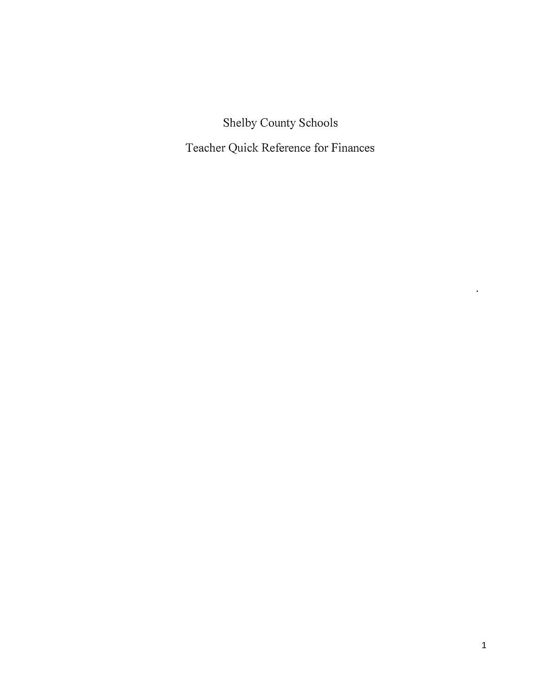Shelby County Schools

Teacher Quick Reference for Finances

 $\mathcal{L}^{\text{max}}$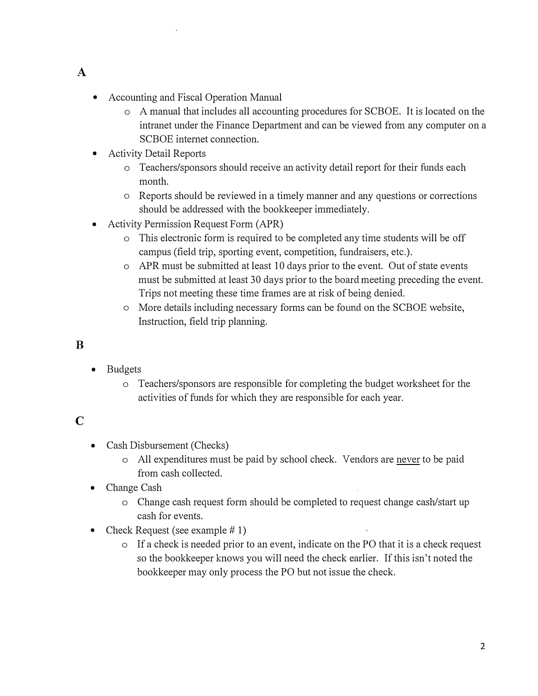- **A**
- Accounting and Fiscal Operation Manual
	- o A manual that includes all accounting procedures for SCBOE. It is located on the intranet under the Finance Department and can be viewed from any computer on a SCBOE internet connection.
- Activity Detail Reports
	- o Teachers/sponsors should receive an activity detail report for their funds each month.
	- o Reports should be reviewed in a timely manner and any questions or corrections should be addressed with the bookkeeper immediately.
- Activity Permission Request Form (APR)
	- o This electronic form is required to be completed any time students will be off campus (field trip, sporting event, competition, fundraisers, etc.).
	- o APR must be submitted at least 10 days prior to the event. Out of state events must be submitted at least 30 days prior to the board meeting preceding the event. Trips not meeting these time frames are at risk of being denied.
	- o More details including necessary forms can be fotmd on the SCBOE website, Instrnction, field trip planning.

#### **B**

- Budgets
	- o Teachers/sponsors are responsible for completing the budget worksheet for the activities of funds for which they are responsible for each year.

#### C

- Cash Disbursement (Checks)
	- o All expenditures must be paid by school check. Vendors are never to be paid from cash collected.
- Change Cash
	- o Change cash request form should be completed to request change cash/start up cash for events.
- Check Request (see example  $# 1$ )
	- o If a check is needed prior to an event, indicate on the PO that it is a check request so the bookkeeper knows you will need the check earlier. If this isn't noted the bookkeeper may only process the PO but not issue the check.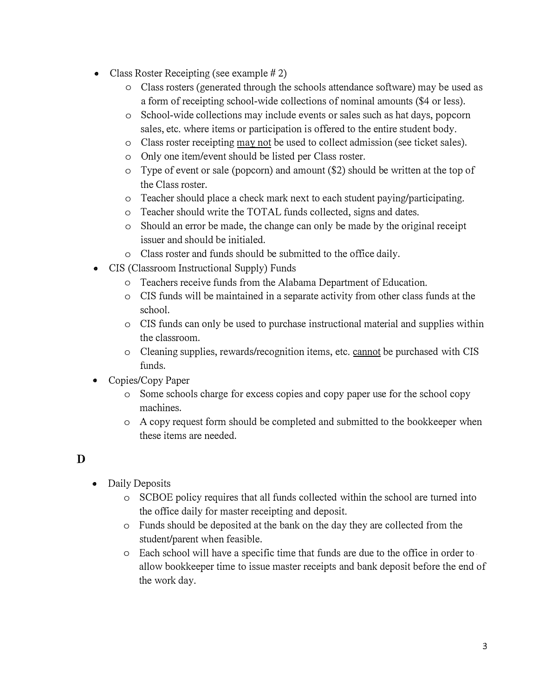- Class Roster Receipting (see example  $#2$ )
	- o Class rosters (generated through the schools attendance software) may be used as a form of receipting school-wide collections of nominal amounts (\$4 or less).
	- o School-wide collections may include events or sales such as hat days, popcorn sales, etc. where items or participation is offered to the entire student body.
	- o Class roster receipting may not be used to collect admission (see ticket sales).
	- o Only one item/event should be listed per Class roster.
	- o Type of event or sale (popcorn) and amount (\$2) should be written at the top of the Class roster.
	- o Teacher should place a check mark next to each student paying/participating.
	- o Teacher should write the TOTAL funds collected, signs and dates.
	- o Should an error be made, the change can only be made by the original receipt issuer and should be initialed.
	- o Class roster and funds should be submitted to the office daily.
- CIS (Classroom Instructional Supply) Funds
	- o Teachers receive funds from the Alabama Department of Education.
	- o CIS funds will be maintained in a separate activity from other class funds at the school.
	- o CIS funds can only be used to purchase instructional material and supplies within the classroom.
	- o Cleaning supplies, rewards/recognition items, etc. cannot be purchased with CIS funds.
- Copies/Copy Paper
	- o Some schools charge for excess copies and copy paper use for the school copy machines.
	- o A copy request fonn should be completed and submitted to the bookkeeper when these items are needed.

#### **D**

- Daily Deposits
	- o SCBOE policy requires that all funds collected within the school are turned into the office daily for master receipting and deposit.
	- o Funds should be deposited at the bank on the day they are collected from the student/parent when feasible.
	- o Each school will have a specific time that funds are due to the office in order to allow bookkeeper time to issue master receipts and bank deposit before the end of the work day.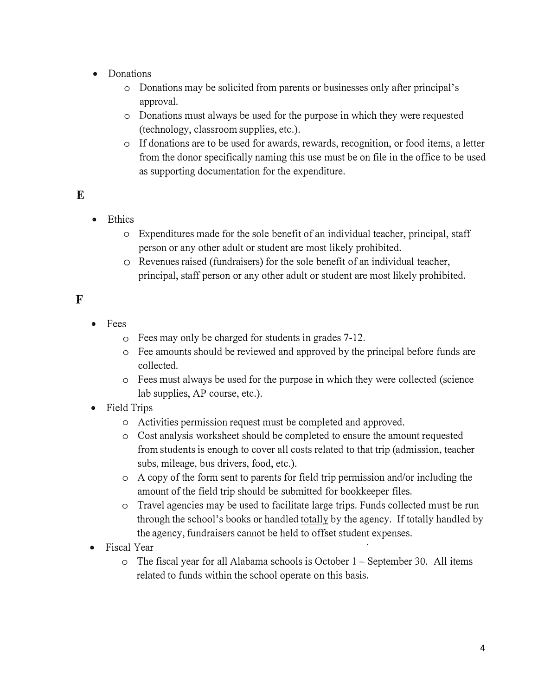- Donations
	- o Donations may be solicited from parents or businesses only after principal' s approval.
	- o Donations must always be used for the purpose in which they were requested (technology, classroom supplies, etc.).
	- o If donations are to be used for awards, rewards, recognition, or food items, a letter from the donor specifically naming this use must be on file in the office to be used as supporting documentation for the expenditure.

## **E**

- Ethics
	- o Expenditures made for the sole benefit of an individual teacher, principal, staff person or any other adult or student are most likely prohibited.
	- o Revenues raised (fundraisers) for the sole benefit of an individual teacher, principal, staff person or any other adult or student are most likely prohibited.

## **F**

- Fees
	- o Fees may only be charged for students in grades 7-12.
	- o Fee amounts should be reviewed and approved by the principal before funds are collected.
	- o Fees must always be used for the purpose in which they were collected (science lab supplies, AP course, etc.).
- Field Trips
	- o Activities pennission request must be completed and approved.
	- o Cost analysis worksheet should be completed to ensure the amount requested from students is enough to cover all costs related to that trip ( admission, teacher subs, mileage, bus drivers, food, etc.).
	- o A copy of the form sent to parents for field trip permission and/or including the amount of the field trip should be submitted for bookkeeper files.
	- o Travel agencies may be used to facilitate large trips. Funds collected must be run through the school's books or handled totally by the agency. If totally handled by the agency, fundraisers cannot be held to offset student expenses.
- Fiscal Year
	- $\circ$  The fiscal year for all Alabama schools is October 1 September 30. All items related to funds within the school operate on this basis.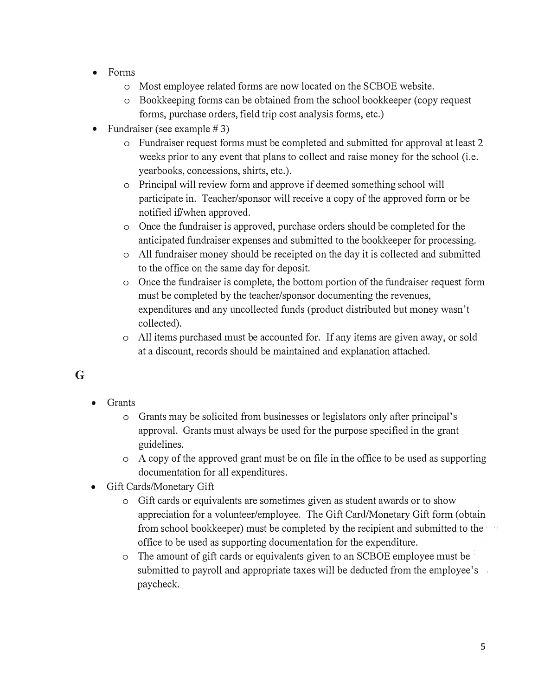- Forms
	- o Most employee related forms are now located on the SCBOE website.
	- o Bookkeeping forms can be obtained from the school bookkeeper ( copy request forms, purchase orders, field trip cost analysis forms, etc.)
- Fundraiser (see example  $# 3$ )
	- o Fundraiser request forms must be completed and submitted for approval at least 2 weeks prior to any event that plans to collect and raise money for the school (i.e. yearbooks, concessions, shirts, etc.).
	- o Principal will review form and approve if deemed something school will participate in. Teacher/sponsor will receive a copy of the approved form or be notified if/when approved.
	- o Once the fundraiser is approved, purchase orders should be completed for the anticipated fundraiser expenses and submitted to the bookkeeper for processing.
	- o All fundraiser money should be receipted on the day it is collected and submitted to the office on the same day for deposit.
	- o Once the fundraiser is complete, the bottom portion of the fundraiser request form must be completed by the teacher/sponsor documenting the revenues, expenditures and any uncollected funds (product distributed but money wasn't collected).
	- o All items purchased must be accounted for. If any items are given away, or sold at a discount, records should be maintained and explanation attached.

# **G**

- Grants
	- o Grants may be solicited from businesses or legislators only after principal's approval. Grants must always be used for the purpose specified in the grant guidelines.
	- o A copy of the approved grant must be on file in the office to be used as supporting documentation for all expenditures.
- Gift Cards/Monetary Gift
	- o Gift cards or equivalents are sometimes given as student awards or to show appreciation for a volunteer/employee. The Gift Card/Monetary Gift form (obtain from school bookkeeper) must be completed by the recipient and submitted to the office to be used as supporting documentation for the expenditure.
	- o The amount of gift cards or equivalents given to an SCBOE employee must be submitted to payroll and appropriate taxes will be deducted from the employee's paycheck.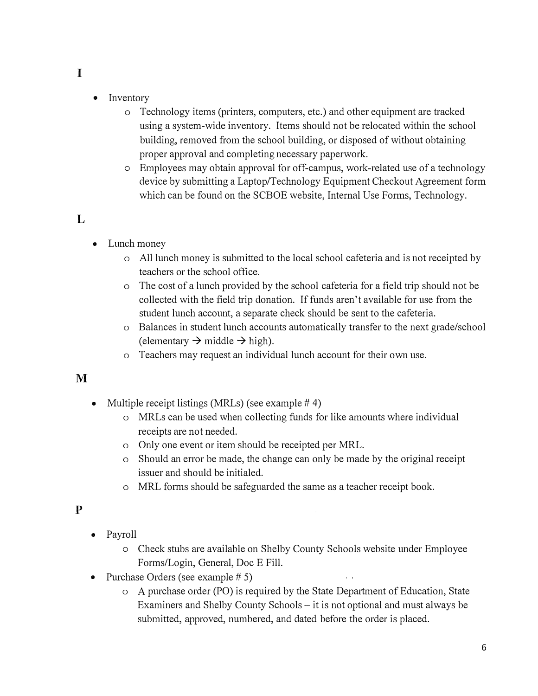- **I**
- Inventory
	- o Technology items (printers, computers, etc.) and other equipment are tracked using a system-wide inventory. Items should not be relocated within the school building, removed from the school building, or disposed of without obtaining proper approval and completing necessary paperwork.
	- o Employees may obtain approval for off-campus, work-related use of a technology device by submitting a Laptop/Technology Equipment Checkout Agreement form which can be found on the SCBOE website, Internal Use Forms, Technology.

## **L**

- Lunch money
	- o All lunch money is submitted to the local school cafeteria and is not receipted by teachers or the school office.
	- o The cost of a lunch provided by the school cafeteria for a field trip should not be collected with the field trip donation. If funds aren't available for use from the student lunch account, a separate check should be sent to the cafeteria.
	- o Balances in student lunch accounts automatically transfer to the next grade/school (elementary  $\rightarrow$  middle  $\rightarrow$  high).
	- o Teachers may request an individual lunch account for their own use.

#### **M**

- Multiple receipt listings (MRLs) (see example  $# 4$ )
	- o MRLs can be used when collecting funds for like amounts where individual receipts are not needed.
	- o Only one event or item should be receipted per MRL.
	- o Should an error be made, the change can only be made by the original receipt issuer and should be initialed.
	- o MRL forms should be safeguarded the same as a teacher receipt book.

#### p

- Payroll
	- o Check stubs are available on Shelby County Schools website under Employee Forms/Login, General, Doc E Fill.

ц.

 $\hat{c}=\hat{a}$ 

- Purchase Orders (see example # 5)
	- o A purchase order (PO) is required by the State Department of Education, State Examiners and Shelby County Schools – it is not optional and must always be submitted, approved, numbered, and dated before the order is placed.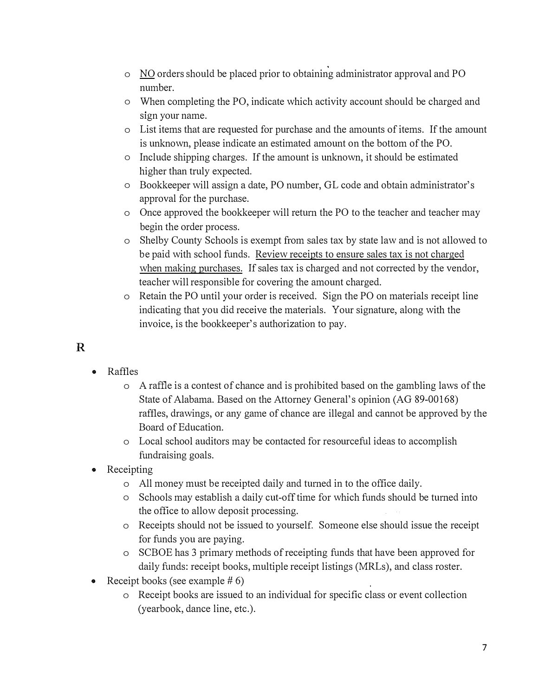- o NO orders should be placed prior to obtaining administrator approval and PO number.
- o When completing the PO, indicate which activity account should be charged and sign your name.
- o List items that are requested for purchase and the amounts of items. If the amount is unknown, please indicate an estimated amount on the bottom of the PO.
- o Include shipping charges. If the amount is unknown, it should be estimated higher than truly expected.
- o Bookkeeper will assign a date, PO number, GL code and obtain administrator's approval for the purchase.
- o Once approved the bookkeeper will return the PO to the teacher and teacher may begin the order process.
- o Shelby County Schools is exempt from sales tax by state law and is not allowed to be paid with school funds. Review receipts to ensure sales tax is not charged when making purchases. If sales tax is charged and not corrected by the vendor, teacher will responsible for covering the amount charged.
- o Retain the PO until your order is received. Sign the PO on materials receipt line indicating that you did receive the materials. Your signature, along with the invoice, is the bookkeeper's authorization to pay.

# **R**

- Raffles
	- o A raffle is a contest of chance and is prohibited based on the gambling laws of the State of Alabama. Based on the Attorney General's opinion (AG 89-00168) raffles, drawings, or any game of chance are illegal and cannot be approved by the Board of Education.
	- o Local school auditors may be contacted for resourceful ideas to accomplish fundraising goals.
- Receipting
	- o All money must be receipted daily and turned in to the office daily.
	- o Schools may establish a daily cut-off time for which funds should be turned into the office to allow deposit processing.
	- o Receipts should not be issued to yourself. Someone else should issue the receipt for funds you are paying.
	- o SCBOE has 3 primary methods of receipting funds that have been approved for daily funds: receipt books, multiple receipt listings (MRLs), and class roster.
- Receipt books (see example  $# 6$ )
	- o Receipt books are issued to an individual for specific class or event collection (yearbook, dance line, etc.).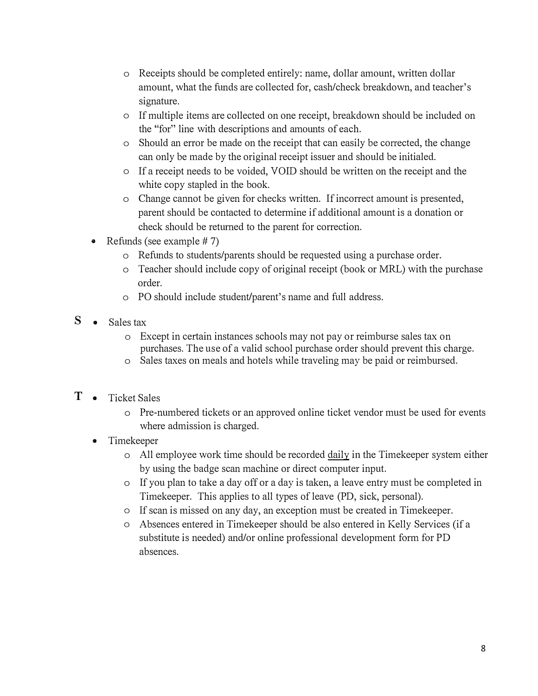- o Receipts should be completed entirely: name, dollar amount, written dollar amount, what the funds are collected for, cash/check breakdown, and teacher's signature.
- o If multiple items are collected on one receipt, breakdown should be included on the "for" line with descriptions and amounts of each.
- o Should an error be made on the receipt that can easily be conected, the change can only be made by the original receipt issuer and should be initialed.
- o If a receipt needs to be voided, VOID should be written on the receipt and the white copy stapled in the book.
- o Change cannot be given for checks written. If incorrect amount is presented, parent should be contacted to determine if additional amount is a donation or check should be returned to the parent for correction.
- Refunds (see example  $# 7$ )
	- o Refunds to students/parents should be requested using a purchase order.
	- o Teacher should include copy of original receipt (book or MRL) with the purchase order.
	- o PO should include student/parent's name and full address.
- $S \bullet$  Sales tax
	- o Except in certain instances schools may not pay or reimburse sales tax on purchases. The use of a valid school purchase order should prevent this charge.
	- o Sales taxes on meals and hotels while traveling may be paid or reimbursed.
- **T**  Ticket Sales
	- o Pre-numbered tickets or an approved online ticket vendor must be used for events where admission is charged.
	- Timekeeper
		- o All employee work time should be recorded daily in the Timekeeper system either by using the badge scan machine or direct computer input.
		- o If you plan to take a day off or a day is taken, a leave entry must be completed in Timekeeper. This applies to all types of leave (PD, sick, personal).
		- o If scan is missed on any day, an exception must be created in Timekeeper.
		- o Absences entered in Timekeeper should be also entered in Kelly Services (if a substitute is needed) and/or online professional development form for PD absences.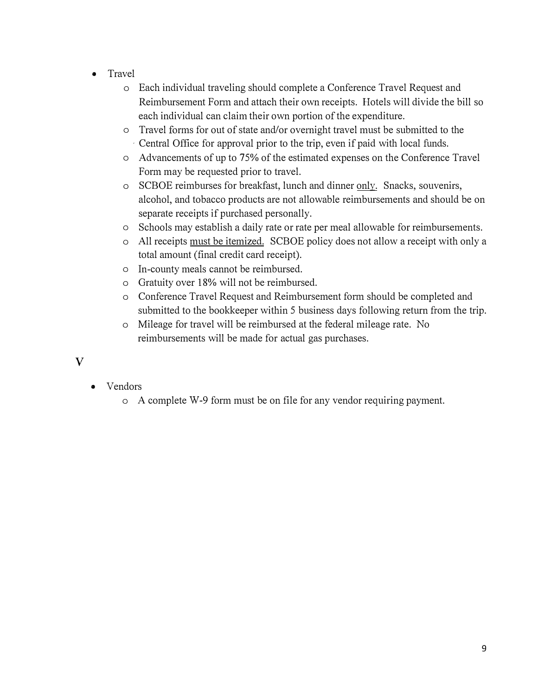- Travel
	- o Each individual traveling should complete a Conference Travel Request and Reimbursement Fonn and attach their own receipts. Hotels will divide the bill so each individual can claim their own portion of the expenditure.
	- o Travel forms for out of state and/or overnight travel must be submitted to the , Central Office for approval prior to the trip, even if paid with local funds.
	- o Advancements of up to 75% of the estimated expenses on the Conference Travel Form may be requested prior to travel.
	- o SCBOE reimburses for breakfast, lunch and dinner only. Snacks, souvenirs, alcohol, and tobacco products are not allowable reimbursements and should be on separate receipts if purchased personally.
	- o Schools may establish a daily rate or rate per meal allowable for reimbursements.
	- o All receipts must be itemized. SCBOE policy does not allow a receipt with only a total amount (final credit card receipt).
	- o In-county meals cannot be reimbursed.
	- $\circ$  Gratuity over 18% will not be reimbursed.
	- o Conference Travel Request and Reimbursement form should be completed and submitted to the bookkeeper within 5 business days following return from the trip.
	- o Mileage for travel will be reimbursed at the federal mileage rate. No reimbursements will be made for actual gas purchases.
- **V**
- Vendors
	- o A complete W-9 form must be on file for any vendor requiring payment.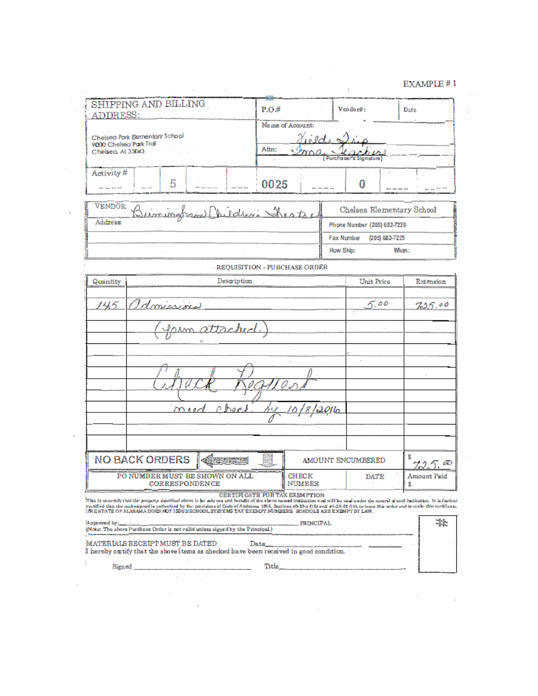$\mathcal{O}(\mathcal{O}(\log n))$ 

|                                               |                                                                                                                                                                                                                                                                                                                                                                                                                                                                                |                                                                               |                                      |           |                              | EXAMPLE #1        |
|-----------------------------------------------|--------------------------------------------------------------------------------------------------------------------------------------------------------------------------------------------------------------------------------------------------------------------------------------------------------------------------------------------------------------------------------------------------------------------------------------------------------------------------------|-------------------------------------------------------------------------------|--------------------------------------|-----------|------------------------------|-------------------|
| <b>ADDRESS:</b>                               | SHIPPING AND BILLING                                                                                                                                                                                                                                                                                                                                                                                                                                                           |                                                                               | P.O.#                                |           | Vendor#:                     | Date              |
| 9000 Chelsea Park Trail<br>Chelsea, Al: 35043 | Chelsea Park Bernentary School<br>gine a gran                                                                                                                                                                                                                                                                                                                                                                                                                                  |                                                                               | Name of Account:<br>Attn:            | dield a   | (Purchaser's Signature)      |                   |
| Activity#<br><b>By the time off</b>           | 5                                                                                                                                                                                                                                                                                                                                                                                                                                                                              |                                                                               | 0025                                 |           | O                            |                   |
| VENDOR:                                       | Bisminghami Children's Sheats                                                                                                                                                                                                                                                                                                                                                                                                                                                  |                                                                               |                                      |           | Chelsea Elementary School    |                   |
| Address:                                      |                                                                                                                                                                                                                                                                                                                                                                                                                                                                                |                                                                               |                                      |           | Phone Number (205) 682-7220  |                   |
|                                               |                                                                                                                                                                                                                                                                                                                                                                                                                                                                                |                                                                               |                                      |           | Fax Number<br>(205) 682-7225 |                   |
|                                               |                                                                                                                                                                                                                                                                                                                                                                                                                                                                                |                                                                               |                                      |           | How Ship:                    | When:             |
|                                               |                                                                                                                                                                                                                                                                                                                                                                                                                                                                                |                                                                               | - REQUISITION - PURCHASE ORDER       |           |                              |                   |
| Quantity                                      |                                                                                                                                                                                                                                                                                                                                                                                                                                                                                | Description                                                                   |                                      |           | Unit Price                   | Extension         |
|                                               | Idmissions                                                                                                                                                                                                                                                                                                                                                                                                                                                                     | Jasm attached                                                                 |                                      |           |                              |                   |
|                                               |                                                                                                                                                                                                                                                                                                                                                                                                                                                                                | mood abort                                                                    | <u>su 10/8/2016</u>                  |           |                              |                   |
|                                               |                                                                                                                                                                                                                                                                                                                                                                                                                                                                                |                                                                               |                                      |           |                              |                   |
|                                               | <b>NO BACK ORDERS</b>                                                                                                                                                                                                                                                                                                                                                                                                                                                          | <b>CERTIFICATE</b>                                                            |                                      |           | AMOUNT ENCUMBERED            | æ                 |
|                                               | PONUMBER MUST BE SHOWN ON ALL<br>CORRESPONDENCE                                                                                                                                                                                                                                                                                                                                                                                                                                |                                                                               | <b>CHECK</b><br><b>NUMBER</b>        |           | DATE                         | Amount Paid<br>\$ |
|                                               | This is to certify that the property described above is by sole use and bunefit of the above named institution and will be used under the control of said institution. It is further<br>yertified that the undersigned is natherized by the provisions of Code of Alabama 1975, Sections 40-23-1 (15) and 40-23-02 (16), to issue this order and to make this certificate.<br>: IRESTATE OF ALABAMA DOES NOT ISSUESCHOOL SYSTEMS TAX EXEMPT NUMBERS SCHOOLS ARE EXEMPT BY LAW. |                                                                               | <b>CERTIFICATE FOR TAX EXEMPTION</b> |           |                              |                   |
| Approved by:                                  |                                                                                                                                                                                                                                                                                                                                                                                                                                                                                | (Note: The above Purchase Order is not valid unless signed by the Principal.) |                                      | PRINCIPAL |                              | 檠                 |

 $\mathcal{L}^{\text{max}}_{\text{max}}$  .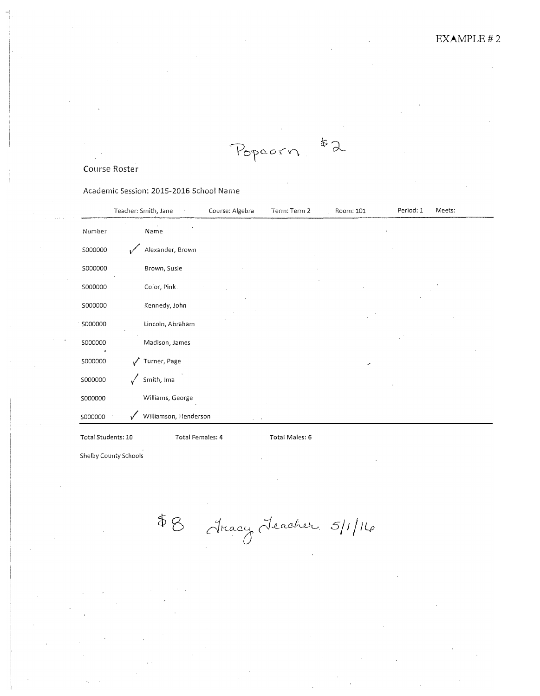$x^2$ Popcorn

#### Course Roster

Academic Session: 2015-2016 School Name

|                    | Teacher: Smith, Jane    |                       | Course: Algebra | Term: Term 2   | Room: 101 | Period: 1 | Meets: |
|--------------------|-------------------------|-----------------------|-----------------|----------------|-----------|-----------|--------|
| <b>Number</b>      | Name                    |                       |                 |                |           |           |        |
| S000000            | مر                      | Alexander, Brown      |                 |                |           |           |        |
| S000000            |                         | Brown, Susie          |                 |                |           |           |        |
| S000000            |                         | Color, Pink.          |                 |                |           |           |        |
| S000000            |                         | Kennedy, John         |                 |                |           |           |        |
| S000000            |                         | Lincoln, Abraham      |                 |                |           |           |        |
| S000000            |                         | Madison, James        |                 |                |           |           |        |
| S000000            | $\sqrt{ }$ Turner, Page |                       |                 |                |           | ╭         |        |
| S000000            | Smith, Ima              |                       |                 |                |           |           |        |
| S000000            |                         | Williams, George      |                 |                |           |           |        |
| S000000            | v                       | Williamson, Henderson |                 |                |           |           |        |
| Total Students: 10 |                         | Total Females: 4      |                 | Total Males: 6 |           |           |        |

Shelby County Schools

\$8 Aracy Leacher 5/1/16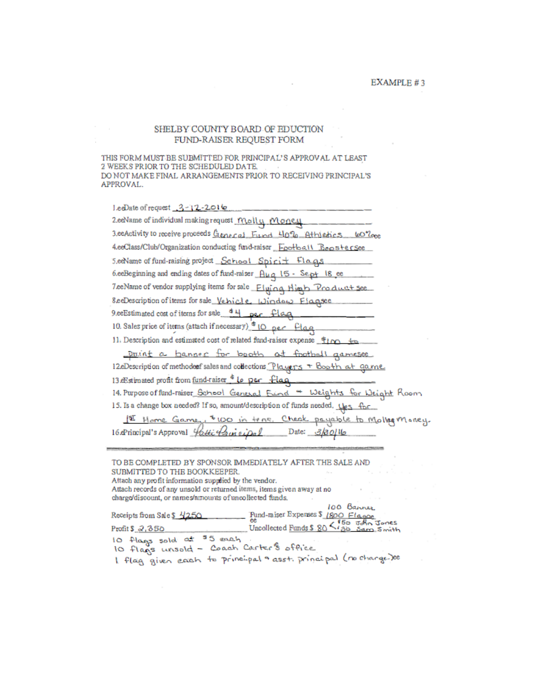#### SHELBY COUNTY BOARD OF EDUCTION FUND-RAISER REQUEST FORM

THIS FORM MUST BE SUBMITTED FOR PRINCIPAL'S APPROVAL AT LEAST 2 WEEKS PRIOR TO THE SCHEDULED DATE. DO NOT MAKE FINAL ARRANGEMENTS PRIOR TO RECEIVING PRINCIPAL'S APPROVAL.

| leeDate of request 3-12-2016                                                   |
|--------------------------------------------------------------------------------|
| 2.eeName of individual making request Mall y Month                             |
| 3.eeActivity to receive proceeds General Fund 40% Athletics 60% cee            |
| 4.eeClass/Club/Organization conducting fund-raiser Football Boostersee         |
| 5.eeName of fund-raising project School Spirit Flags                           |
| 6.eeBeginning and ending dates of fund-raiser Aug 15 - Sept 18 ee              |
| TeeName of vendor supplying items for sale Fluing High Product see             |
| 8 ee Description of items for sale Vehicle Window Flagsee                      |
| 9.eeEstimated cost of items for sale 44 per flag                               |
| 10. Sales price of items (attach if necessary) <sup>6</sup> 10 per Flag        |
| 11. Description and estimated cost of related fund-raiser expense find to      |
| point a banner for booth at football gamesee                                   |
| 12.eDescription of methoderef sales and collections Players + Booth at game    |
| 13.eEstimated profit from fund-raiser & Lo per flaq                            |
| 14. Purpose of fund-raiser_School Genesal Frind * Weights for Weight Room      |
| 15. Is a change box needed? If so, amount/description of funds needed, Ugs for |
| Home Game, \$100 in tras. Check payable to Molleg Money.                       |
| 16 Arincipal's Approval <i>Hotti Annieipal</i> Date: 3/30/16                   |
|                                                                                |

TO BE COMPLETED BY SPONSOR IMMEDIATELY AFTER THE SALE AND SUBMITTED TO THE BOOKKEEPER.  $\mathcal{L}_{\rm{H}}$  . Attach any profit information supplied by the vendor. Attach records of any unsold or returned items, items given away at no charge/discount, or names/amounts of uncollected funds, 100 Barner Pund-miser Expenses \$ 1800 Flasoe<br>ee<br>Uncollected Funds \$ 80 \ 30 540 Jones Receipts from Sale \$ 4250 Profit  $$2,350$ 10 flags sold at \$5 each 10 flags unsold - Coach Carter's office

I flag given each to principal asst. principal (no change-)ce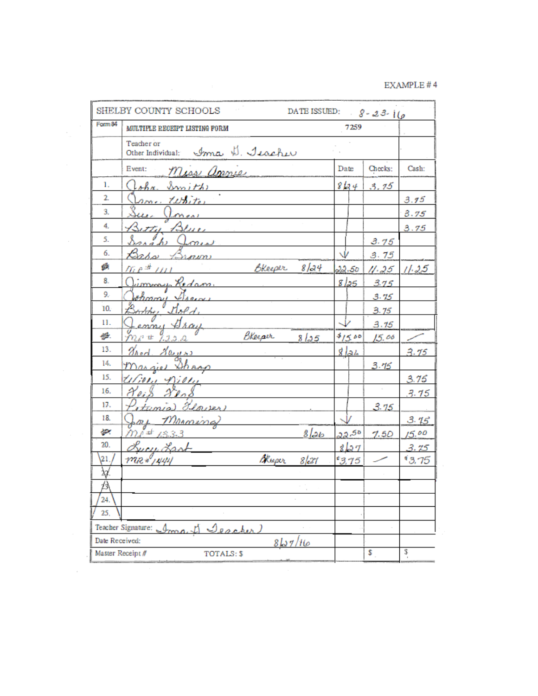| Form 84                           | MULTIPLE RECEIPT LISTING FORM                                              | 7259              |         |       |
|-----------------------------------|----------------------------------------------------------------------------|-------------------|---------|-------|
|                                   | Teacher or                                                                 |                   |         |       |
|                                   | Other Individual: Ima U. Jeacher                                           |                   |         |       |
|                                   | Event:<br>Miss annie                                                       | Date              | Checks: | Cash: |
| 1.                                | lohn Smith                                                                 | 8134              | 3.75    |       |
| 2.                                | ame tutito                                                                 |                   |         | 3.75  |
| 3.                                | an-<br>$l$ men                                                             |                   |         | 3.75  |
| 4.                                | Betty Blue                                                                 |                   |         | 3.75  |
| 5.                                | Sarah Jones                                                                |                   | 3.75    |       |
| 6.                                | Bass Brown                                                                 |                   | 3.75    |       |
| 鉄                                 | Bleeper 8/24<br>$\eta_{i,P}$ , $\pi_{i,P+1}$ , and the set of $\eta_{i,P}$ | 22.50             | 11.25   | 11.25 |
| 8.                                | immy Redam                                                                 | 8 25              | 3.75    |       |
| 9.                                | opmail Disease                                                             |                   | 3.75    |       |
| 10.                               | Boothy Dold,                                                               |                   | 3.75    |       |
| 11.                               | enny Aray                                                                  |                   | 3.75    |       |
| 慘.                                | BKeeper<br>In 1 2222<br>8125                                               | 4/500             | 15.00   |       |
| 13.                               | <i>Uned Hayens</i>                                                         | $g _{\partial h}$ |         | 3.75  |
| 14.                               | <u>Margiel Shann</u>                                                       |                   | 3.15    |       |
| 15.                               | Ulion Nion                                                                 |                   |         | 3.75  |
| 16.                               | 80.8<br>X oi 8                                                             |                   |         | 3.75  |
| 17.                               | (tunia) Llower                                                             |                   | 3.75    |       |
| 18.                               | ory Marmina                                                                |                   |         | 3.75  |
| 壑                                 | $m_{\ell} = 13.3.3$<br>$8$ lab                                             | 22,50             | 7.50    | 15.00 |
| 20.                               | <u>Lucy Last</u>                                                           | 8127              |         | 3.75  |
| $ 21\rangle$                      | $max*1444$<br>Blueper<br>8/21                                              | 3.75              |         | 93,75 |
| ЪJ.                               |                                                                            |                   |         |       |
| 公                                 |                                                                            |                   |         |       |
| 24.                               |                                                                            |                   |         |       |
| 25.                               |                                                                            |                   |         |       |
|                                   | Teacher Signature: Ima, I Seacher.                                         |                   |         |       |
| Date Received:<br>Master Receipt# | 8127/16<br>TOTALS: \$                                                      |                   | s       | s     |

 $\mathcal{L}_{\mathcal{A}}$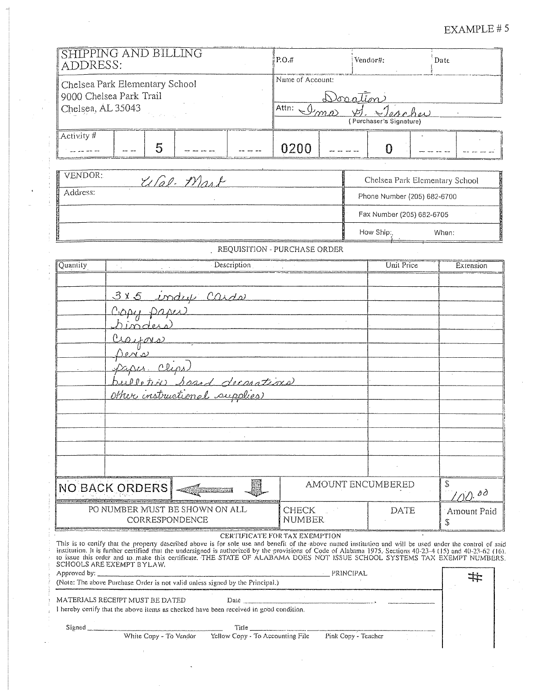# EXAMPLE #5

| ADDRESS:                                                                                                        | SHIPPING AND BILLING                                                                 |                                                                                        |                                           | P.O.#                                 |                     | Vendor#:                           | Date                                                                                                                                                                                                                                                                                                                                                                                                                                                       |
|-----------------------------------------------------------------------------------------------------------------|--------------------------------------------------------------------------------------|----------------------------------------------------------------------------------------|-------------------------------------------|---------------------------------------|---------------------|------------------------------------|------------------------------------------------------------------------------------------------------------------------------------------------------------------------------------------------------------------------------------------------------------------------------------------------------------------------------------------------------------------------------------------------------------------------------------------------------------|
| Chelsea, AL 35043                                                                                               | Chelsea Park Elementary School<br>9000 Chelsea Park Trail                            |                                                                                        |                                           | Name of Account:<br>Attn: $\sqrt{y}$  | <u>Dorration</u>    | Deacher<br>(Purchaser's Signature) |                                                                                                                                                                                                                                                                                                                                                                                                                                                            |
| Activity #<br>$\frac{1}{2}$ $\frac{1}{2}$ $\frac{1}{2}$ $\frac{1}{2}$ $\frac{1}{2}$ $\frac{1}{2}$ $\frac{1}{2}$ |                                                                                      | 5                                                                                      |                                           | 0200                                  |                     | 0                                  |                                                                                                                                                                                                                                                                                                                                                                                                                                                            |
| VENDOR:                                                                                                         |                                                                                      | USal-Mart                                                                              |                                           |                                       |                     |                                    | Chelsea Park Elementary School                                                                                                                                                                                                                                                                                                                                                                                                                             |
| Address:                                                                                                        |                                                                                      |                                                                                        |                                           |                                       |                     | Phone Number (205) 682-6700        |                                                                                                                                                                                                                                                                                                                                                                                                                                                            |
|                                                                                                                 |                                                                                      |                                                                                        |                                           |                                       |                     | Fax Number (205) 682-6705          |                                                                                                                                                                                                                                                                                                                                                                                                                                                            |
|                                                                                                                 |                                                                                      |                                                                                        |                                           |                                       |                     | How Ship:                          | When:                                                                                                                                                                                                                                                                                                                                                                                                                                                      |
|                                                                                                                 |                                                                                      |                                                                                        | REQUISITION - PURCHASE ORDER              |                                       |                     |                                    |                                                                                                                                                                                                                                                                                                                                                                                                                                                            |
| Quantity                                                                                                        |                                                                                      |                                                                                        | Description                               |                                       |                     | Unit Price                         | Extension                                                                                                                                                                                                                                                                                                                                                                                                                                                  |
|                                                                                                                 | Goby paper<br><i>binders</i><br>$c_{\text{24M2}}$<br>$D$ en si<br><u>Paper Clips</u> | bulletin Spand decorations<br>other instructional supplies                             |                                           |                                       |                     |                                    |                                                                                                                                                                                                                                                                                                                                                                                                                                                            |
| AMOUNT ENCUMBERED<br><b>NO BACK ORDERS</b>                                                                      |                                                                                      |                                                                                        |                                           |                                       |                     |                                    | \$<br>$\Lambda$ od                                                                                                                                                                                                                                                                                                                                                                                                                                         |
|                                                                                                                 |                                                                                      | PO NUMBER MUST BE SHOWN ON ALL<br>CORRESPONDENCE                                       |                                           | <b>CHECK</b><br>DATE<br><b>NUMBER</b> |                     | Amount Paid<br>\$                  |                                                                                                                                                                                                                                                                                                                                                                                                                                                            |
| Approved by: _                                                                                                  | SCHOOLS ARE EXEMPT BYLAW.                                                            |                                                                                        | CERTIFICATE FOR TAX EXEMPTION             |                                       | PRINCIPAL           |                                    | This is to certify that the property described above is for sole use and benefit of the above named institution and will be used under the control of said<br>institution. It is further certified that the undersigned is authorized by the provisions of Code of Alabama 1975. Sections 40-23-4 (15) and 40-23-62 (16).<br>to issue this order and to make this certificate. THE STATE OF ALABAMA DOES NOT ISSUE SCHOOL SYSTEMS TAX EXEMPT NUMBERS.<br>井 |
|                                                                                                                 |                                                                                      | (Note: The above Purchase Order is not valid unless signed by the Principal.)          |                                           |                                       |                     |                                    |                                                                                                                                                                                                                                                                                                                                                                                                                                                            |
|                                                                                                                 | MATERIALS RECEIPT MUST BE DATED                                                      | I hereby certify that the above items as checked have been received in good condition. | Date $\frac{1}{2}$                        |                                       |                     |                                    |                                                                                                                                                                                                                                                                                                                                                                                                                                                            |
|                                                                                                                 |                                                                                      |                                                                                        | Title<br>Yellow Copy - To Accounting File |                                       |                     |                                    |                                                                                                                                                                                                                                                                                                                                                                                                                                                            |
|                                                                                                                 |                                                                                      |                                                                                        |                                           |                                       | Pink Copy - Teacher |                                    |                                                                                                                                                                                                                                                                                                                                                                                                                                                            |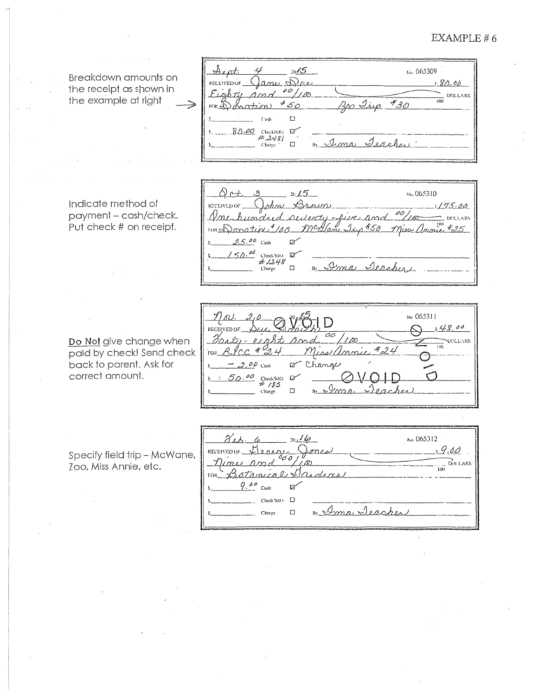#### EXAMPLE  $# 6$

No. 065310

Miss Annie #25

oo

Denabi

 $1175.00$ 

L DOLLARS

Breakdown amounts on the receipt as shown in the example at right

Sept  $20\sqrt{5}$ к» 065309 ana Dae **KECEIVED OF**  $80.00$  $00/100$  $\mathcal{E}_\ell$ DOLLARS  $\overline{100}$ <u>Ros Irip</u>  $*_{30}$ ڪ \*చ⊘  $500$ <u> Danatz</u>  $\Box$  $\bar{\Gamma}$  wh  $80.00$  CheckANO 12 Teacher <u> I mai</u>  $\Box$ L'harge

<u>seilenty-five and</u>

Ima

anc Isio #50

Indicate method of payment - cash/check. Put check # on receipt.

∆ բ⊣.

10Ks Donation

RECEIVED OF

 $\overline{a}$ 

humdr

 $2.5.00$  Cash

 $250$   $^{od}$  check/MO  $\Box$ #1248

Charge

 $20.65$ 

 $\mathbb{R}^2$ 

 $\Box$ 

Brown

Do Not give change when paid by check! Send check back to parent. Ask for correct amount.

Ne 065311  $\left| \ \right|$ <u>s 4</u>8. RECEIVED OF ōō | 1 sc  $\overline{\mathbb{R}}$ Miss annie  $424$ RIcc  $-40^\circ$ .<br>FO2  $-2.00$  Cush Change  $\mathbf{Z}^{\prime}$  $50.90$  ChuckMO  $\overline{D}$ Dome  $_{\rm Charge}$  $\Box$  $\mathbf{a}$ 

Specify field trip - McWane, Zoo, Miss Annie, etc.

けへ No. 065312  $10/10$  $.9.00$ .<br>∙RECEIV£D QF Deprac **EXIL LARS**  $\overline{n}$  $I$ rmes Betanical Da 1 O.H  $9.00$ Cash EX  $Check M)$   $\square$ B) Ima Jeacher  $\Box$ **Charge**